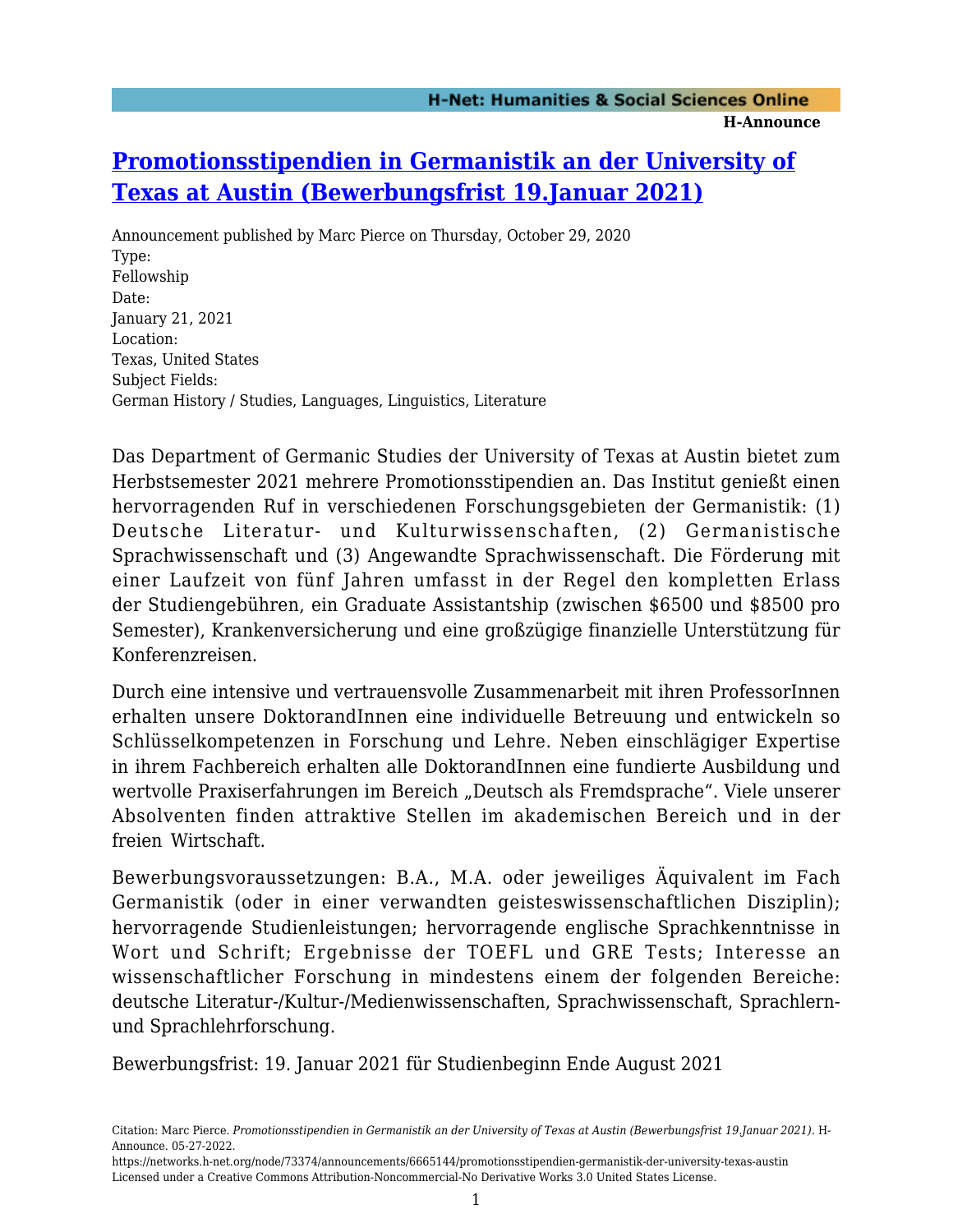## **[Promotionsstipendien in Germanistik an der University of](https://networks.h-net.org/node/73374/announcements/6665144/promotionsstipendien-germanistik-der-university-texas-austin) [Texas at Austin \(Bewerbungsfrist 19.Januar 2021\)](https://networks.h-net.org/node/73374/announcements/6665144/promotionsstipendien-germanistik-der-university-texas-austin)**

Announcement published by Marc Pierce on Thursday, October 29, 2020 Type: Fellowship Date: January 21, 2021 Location: Texas, United States Subject Fields: German History / Studies, Languages, Linguistics, Literature

Das Department of Germanic Studies der University of Texas at Austin bietet zum Herbstsemester 2021 mehrere Promotionsstipendien an. Das Institut genießt einen hervorragenden Ruf in verschiedenen Forschungsgebieten der Germanistik: (1) Deutsche Literatur- und Kulturwissenschaften, (2) Germanistische Sprachwissenschaft und (3) Angewandte Sprachwissenschaft. Die Förderung mit einer Laufzeit von fünf Jahren umfasst in der Regel den kompletten Erlass der Studiengebühren, ein Graduate Assistantship (zwischen \$6500 und \$8500 pro Semester), Krankenversicherung und eine großzügige finanzielle Unterstützung für Konferenzreisen.

Durch eine intensive und vertrauensvolle Zusammenarbeit mit ihren ProfessorInnen erhalten unsere DoktorandInnen eine individuelle Betreuung und entwickeln so Schlüsselkompetenzen in Forschung und Lehre. Neben einschlägiger Expertise in ihrem Fachbereich erhalten alle DoktorandInnen eine fundierte Ausbildung und wertvolle Praxiserfahrungen im Bereich "Deutsch als Fremdsprache". Viele unserer Absolventen finden attraktive Stellen im akademischen Bereich und in der freien Wirtschaft.

Bewerbungsvoraussetzungen: B.A., M.A. oder jeweiliges Äquivalent im Fach Germanistik (oder in einer verwandten geisteswissenschaftlichen Disziplin); hervorragende Studienleistungen; hervorragende englische Sprachkenntnisse in Wort und Schrift; Ergebnisse der TOEFL und GRE Tests; Interesse an wissenschaftlicher Forschung in mindestens einem der folgenden Bereiche: deutsche Literatur-/Kultur-/Medienwissenschaften, Sprachwissenschaft, Sprachlernund Sprachlehrforschung.

Bewerbungsfrist: 19. Januar 2021 für Studienbeginn Ende August 2021

Citation: Marc Pierce. *Promotionsstipendien in Germanistik an der University of Texas at Austin (Bewerbungsfrist 19.Januar 2021)*. H-Announce. 05-27-2022.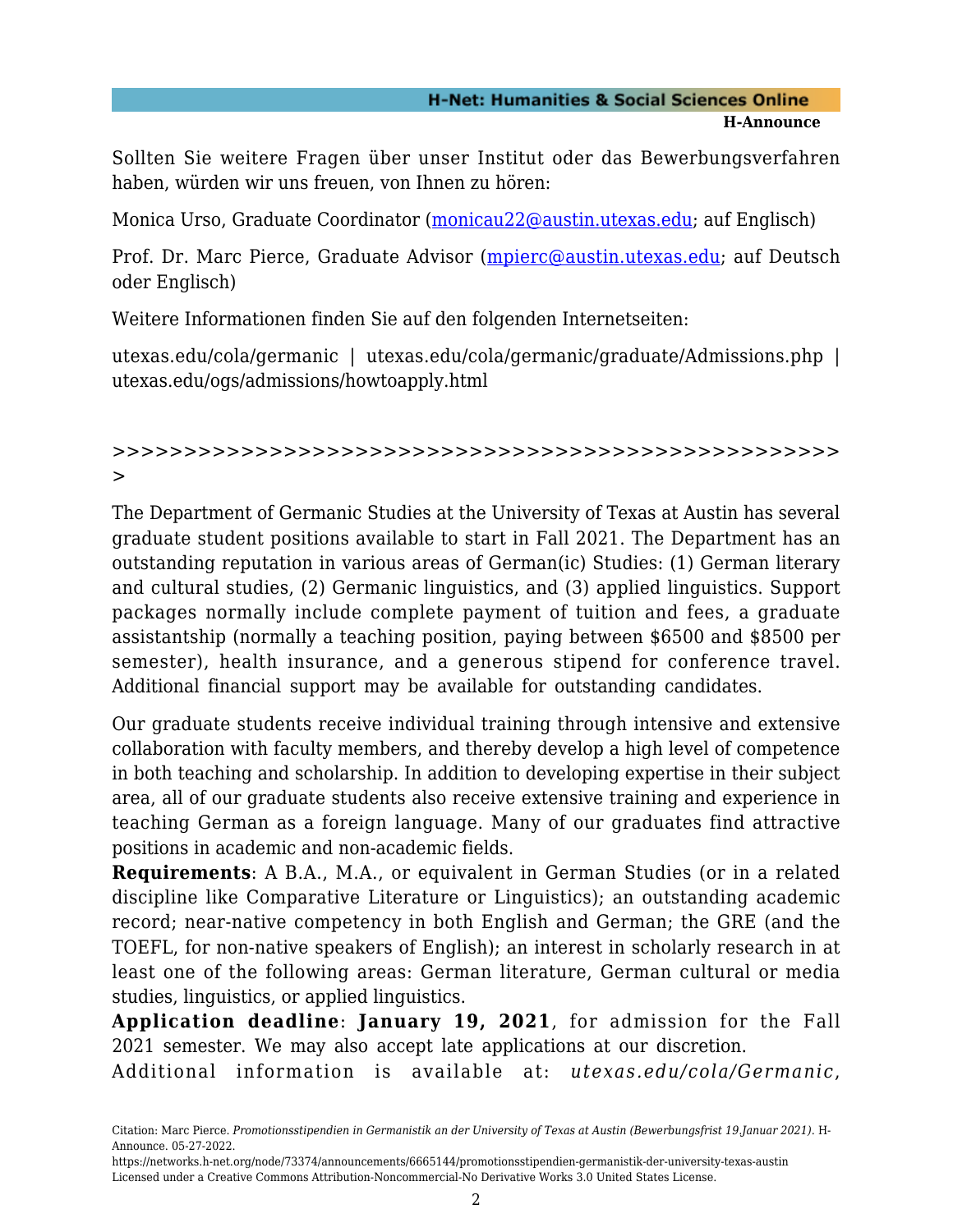## **H-Net: Humanities & Social Sciences Online H-Announce**

Sollten Sie weitere Fragen über unser Institut oder das Bewerbungsverfahren haben, würden wir uns freuen, von Ihnen zu hören:

Monica Urso, Graduate Coordinator ([monicau22@austin.utexas.edu](mailto:monicau22@austin.utexas.edu); auf Englisch)

Prof. Dr. Marc Pierce, Graduate Advisor ([mpierc@austin.utexas.edu](mailto:mpierc@austin.utexas.edu); auf Deutsch oder Englisch)

Weitere Informationen finden Sie auf den folgenden Internetseiten:

utexas.edu/cola/germanic | utexas.edu/cola/germanic/graduate/Admissions.php | utexas.edu/ogs/admissions/howtoapply.html

## >>>>>>>>>>>>>>>>>>>>>>>>>>>>>>>>>>>>>>>>>>>>>>>>>>> >

The Department of Germanic Studies at the University of Texas at Austin has several graduate student positions available to start in Fall 2021. The Department has an outstanding reputation in various areas of German(ic) Studies: (1) German literary and cultural studies, (2) Germanic linguistics, and (3) applied linguistics. Support packages normally include complete payment of tuition and fees, a graduate assistantship (normally a teaching position, paying between \$6500 and \$8500 per semester), health insurance, and a generous stipend for conference travel. Additional financial support may be available for outstanding candidates.

Our graduate students receive individual training through intensive and extensive collaboration with faculty members, and thereby develop a high level of competence in both teaching and scholarship. In addition to developing expertise in their subject area, all of our graduate students also receive extensive training and experience in teaching German as a foreign language. Many of our graduates find attractive positions in academic and non-academic fields.

**Requirements**: A B.A., M.A., or equivalent in German Studies (or in a related discipline like Comparative Literature or Linguistics); an outstanding academic record; near-native competency in both English and German; the GRE (and the TOEFL, for non-native speakers of English); an interest in scholarly research in at least one of the following areas: German literature, German cultural or media studies, linguistics, or applied linguistics.

**Application deadline**: **January 19, 2021**, for admission for the Fall 2021 semester. We may also accept late applications at our discretion.

Additional information is available at: *utexas.edu/cola/Germanic*,

Citation: Marc Pierce. *Promotionsstipendien in Germanistik an der University of Texas at Austin (Bewerbungsfrist 19.Januar 2021)*. H-Announce. 05-27-2022.

https://networks.h-net.org/node/73374/announcements/6665144/promotionsstipendien-germanistik-der-university-texas-austin Licensed under a Creative Commons Attribution-Noncommercial-No Derivative Works 3.0 United States License.